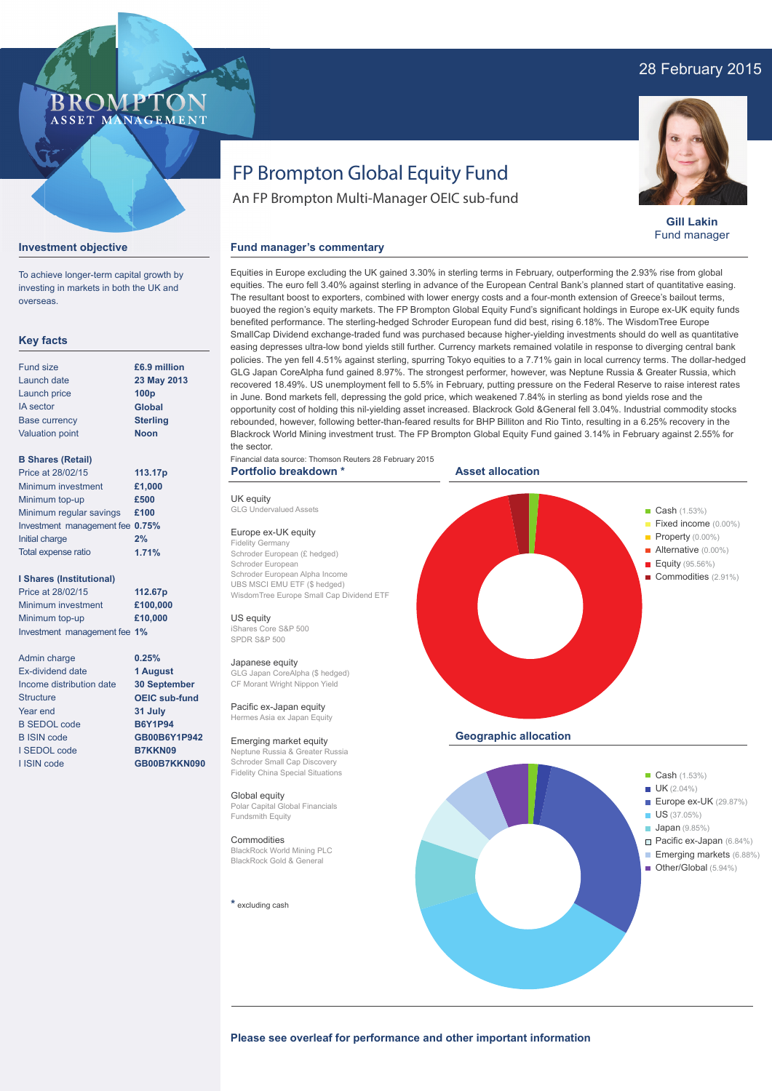# 28 February 2015

# ROMPTO ASSET MANAGEMENT

# FP Brompton Global Equity Fund

An FP Brompton Multi-Manager OEIC sub-fund



**Gill Lakin** Fund manager

## **Investment objective**

To achieve longer-term capital growth by investing in markets in both the UK and overseas.

# **Key facts**

| <b>Fund size</b>       | £6.9 million     |
|------------------------|------------------|
| Launch date            | 23 May 2013      |
| Launch price           | 100 <sub>p</sub> |
| <b>IA</b> sector       | <b>Global</b>    |
| <b>Base currency</b>   | <b>Sterling</b>  |
| <b>Valuation point</b> | <b>Noon</b>      |

# **B Shares (Retail)**

| Price at 28/02/15               | 113.17p |
|---------------------------------|---------|
| Minimum investment              | £1,000  |
| Minimum top-up                  | £500    |
| Minimum regular savings         | £100    |
| Investment management fee 0.75% |         |
| Initial charge                  | 2%      |
| Total expense ratio             | 1.71%   |

## **I Shares (Institutional)**

Price at 28/02/15 Minimum investment Minimum top-up Investment management fee **1% 112.67p £100,000 £10,000**

> **0.25% 1 August 30 September OEIC sub-fund 31 July B6Y1P94 GB00B6Y1P942 B7KKN09 GB00B7KKN090**

Admin charge Ex-dividend date Income distribution date **Structure** Year end B SEDOL code B ISIN code I SEDOL code I ISIN code

Equities in Europe excluding the UK gained 3.30% in sterling terms in February, outperforming the 2.93% rise from global equities. The euro fell 3.40% against sterling in advance of the European Central Bank's planned start of quantitative easing. The resultant boost to exporters, combined with lower energy costs and a four-month extension of Greece's bailout terms, buoyed the region's equity markets. The FP Brompton Global Equity Fund's significant holdings in Europe ex-UK equity funds benefited performance. The sterling-hedged Schroder European fund did best, rising 6.18%. The WisdomTree Europe SmallCap Dividend exchange-traded fund was purchased because higher-yielding investments should do well as quantitative easing depresses ultra-low bond yields still further. Currency markets remained volatile in response to diverging central bank policies. The yen fell 4.51% against sterling, spurring Tokyo equities to a 7.71% gain in local currency terms. The dollar-hedged GLG Japan CoreAlpha fund gained 8.97%. The strongest performer, however, was Neptune Russia & Greater Russia, which recovered 18.49%. US unemployment fell to 5.5% in February, putting pressure on the Federal Reserve to raise interest rates in June. Bond markets fell, depressing the gold price, which weakened 7.84% in sterling as bond yields rose and the opportunity cost of holding this nil-yielding asset increased. Blackrock Gold &General fell 3.04%. Industrial commodity stocks rebounded, however, following better-than-feared results for BHP Billiton and Rio Tinto, resulting in a 6.25% recovery in the Blackrock World Mining investment trust. The FP Brompton Global Equity Fund gained 3.14% in February against 2.55% for the sector.

Financial data source: Thomson Reuters 28 February 2015 **Portfolio breakdown \***

# UK equity

GLG Undervalued Assets

Europe ex-UK equity Fidelity Germany Schroder European (£ hedged) Schroder European Schroder European Alpha Income UBS MSCI EMU ETF (\$ hedged) WisdomTree Europe Small Cap Dividend ETF

**Fund manager's commentary** 

US equity iShares Core S&P 500 SPDR S&P 500

## Japanese equity

GLG Japan CoreAlpha (\$ hedged) CF Morant Wright Nippon Yield

Pacific ex-Japan equity Hermes Asia ex Japan Equity

# Emerging market equity

Neptune Russia & Greater Russia Schroder Small Cap Discovery Fidelity China Special Situations

Global equity Polar Capital Global Financials Fundsmith Equity

## **Commodities**

BlackRock World Mining PLC BlackRock Gold & General

**\*** excluding cash